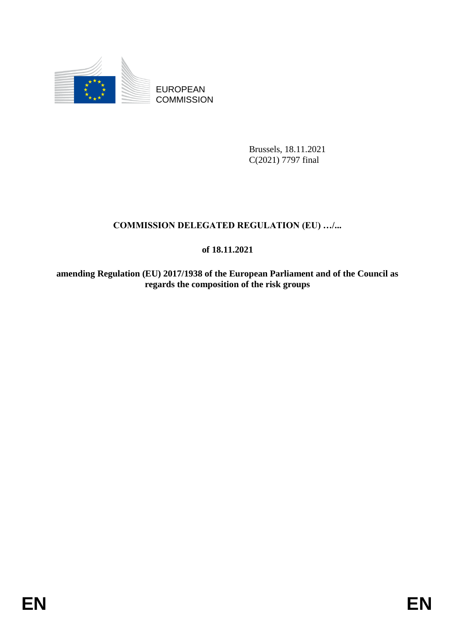

EUROPEAN **COMMISSION** 

> Brussels, 18.11.2021 C(2021) 7797 final

# **COMMISSION DELEGATED REGULATION (EU) …/...**

## **of 18.11.2021**

**amending Regulation (EU) 2017/1938 of the European Parliament and of the Council as regards the composition of the risk groups**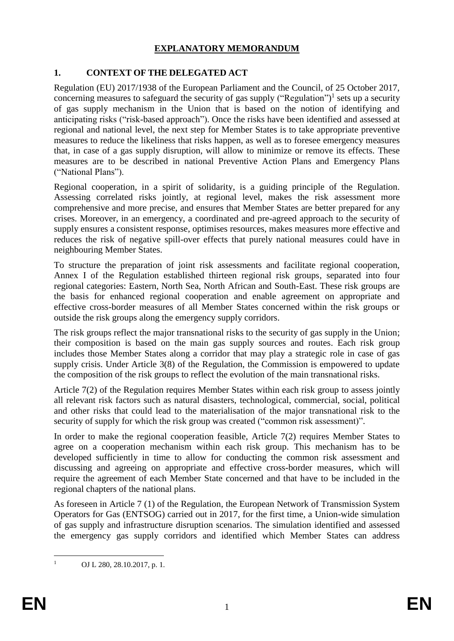### **EXPLANATORY MEMORANDUM**

### **1. CONTEXT OF THE DELEGATED ACT**

Regulation (EU) 2017/1938 of the European Parliament and the Council, of 25 October 2017, concerning measures to safeguard the security of gas supply ("Regulation")<sup>1</sup> sets up a security of gas supply mechanism in the Union that is based on the notion of identifying and anticipating risks ("risk-based approach"). Once the risks have been identified and assessed at regional and national level, the next step for Member States is to take appropriate preventive measures to reduce the likeliness that risks happen, as well as to foresee emergency measures that, in case of a gas supply disruption, will allow to minimize or remove its effects. These measures are to be described in national Preventive Action Plans and Emergency Plans ("National Plans").

Regional cooperation, in a spirit of solidarity, is a guiding principle of the Regulation. Assessing correlated risks jointly, at regional level, makes the risk assessment more comprehensive and more precise, and ensures that Member States are better prepared for any crises. Moreover, in an emergency, a coordinated and pre-agreed approach to the security of supply ensures a consistent response, optimises resources, makes measures more effective and reduces the risk of negative spill-over effects that purely national measures could have in neighbouring Member States.

To structure the preparation of joint risk assessments and facilitate regional cooperation, Annex I of the Regulation established thirteen regional risk groups, separated into four regional categories: Eastern, North Sea, North African and South-East. These risk groups are the basis for enhanced regional cooperation and enable agreement on appropriate and effective cross-border measures of all Member States concerned within the risk groups or outside the risk groups along the emergency supply corridors.

The risk groups reflect the major transnational risks to the security of gas supply in the Union; their composition is based on the main gas supply sources and routes. Each risk group includes those Member States along a corridor that may play a strategic role in case of gas supply crisis. Under Article 3(8) of the Regulation, the Commission is empowered to update the composition of the risk groups to reflect the evolution of the main transnational risks.

Article 7(2) of the Regulation requires Member States within each risk group to assess jointly all relevant risk factors such as natural disasters, technological, commercial, social, political and other risks that could lead to the materialisation of the major transnational risk to the security of supply for which the risk group was created ("common risk assessment)".

In order to make the regional cooperation feasible, Article 7(2) requires Member States to agree on a cooperation mechanism within each risk group. This mechanism has to be developed sufficiently in time to allow for conducting the common risk assessment and discussing and agreeing on appropriate and effective cross-border measures, which will require the agreement of each Member State concerned and that have to be included in the regional chapters of the national plans.

As foreseen in Article 7 (1) of the Regulation, the European Network of Transmission System Operators for Gas (ENTSOG) carried out in 2017, for the first time, a Union-wide simulation of gas supply and infrastructure disruption scenarios. The simulation identified and assessed the emergency gas supply corridors and identified which Member States can address

 $\mathbf{1}$ 

OJ L 280, 28.10.2017, p. 1.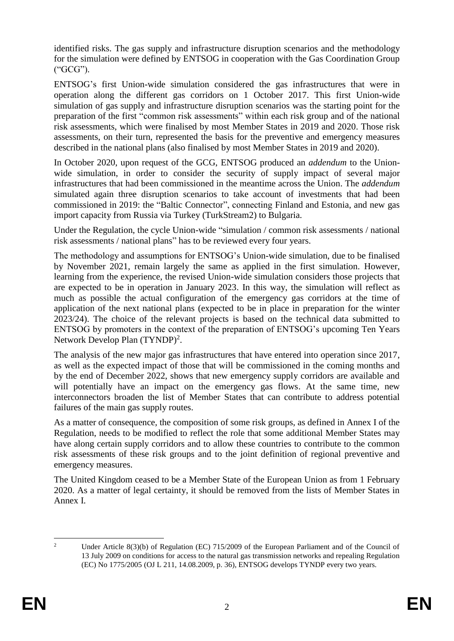identified risks. The gas supply and infrastructure disruption scenarios and the methodology for the simulation were defined by ENTSOG in cooperation with the Gas Coordination Group ("GCG").

ENTSOG's first Union-wide simulation considered the gas infrastructures that were in operation along the different gas corridors on 1 October 2017. This first Union-wide simulation of gas supply and infrastructure disruption scenarios was the starting point for the preparation of the first "common risk assessments" within each risk group and of the national risk assessments, which were finalised by most Member States in 2019 and 2020. Those risk assessments, on their turn, represented the basis for the preventive and emergency measures described in the national plans (also finalised by most Member States in 2019 and 2020).

In October 2020, upon request of the GCG, ENTSOG produced an *addendum* to the Unionwide simulation, in order to consider the security of supply impact of several major infrastructures that had been commissioned in the meantime across the Union. The *addendum* simulated again three disruption scenarios to take account of investments that had been commissioned in 2019: the "Baltic Connector", connecting Finland and Estonia, and new gas import capacity from Russia via Turkey (TurkStream2) to Bulgaria.

Under the Regulation, the cycle Union-wide "simulation / common risk assessments / national risk assessments / national plans" has to be reviewed every four years.

The methodology and assumptions for ENTSOG's Union-wide simulation, due to be finalised by November 2021, remain largely the same as applied in the first simulation. However, learning from the experience, the revised Union-wide simulation considers those projects that are expected to be in operation in January 2023. In this way, the simulation will reflect as much as possible the actual configuration of the emergency gas corridors at the time of application of the next national plans (expected to be in place in preparation for the winter 2023/24). The choice of the relevant projects is based on the technical data submitted to ENTSOG by promoters in the context of the preparation of ENTSOG's upcoming Ten Years Network Develop Plan (TYNDP)<sup>2</sup>.

The analysis of the new major gas infrastructures that have entered into operation since 2017, as well as the expected impact of those that will be commissioned in the coming months and by the end of December 2022, shows that new emergency supply corridors are available and will potentially have an impact on the emergency gas flows. At the same time, new interconnectors broaden the list of Member States that can contribute to address potential failures of the main gas supply routes.

As a matter of consequence, the composition of some risk groups, as defined in Annex I of the Regulation, needs to be modified to reflect the role that some additional Member States may have along certain supply corridors and to allow these countries to contribute to the common risk assessments of these risk groups and to the joint definition of regional preventive and emergency measures.

The United Kingdom ceased to be a Member State of the European Union as from 1 February 2020. As a matter of legal certainty, it should be removed from the lists of Member States in Annex I.

 $\overline{\phantom{a}}$ <sup>2</sup> Under Article 8(3)(b) of Regulation (EC) 715/2009 of the European Parliament and of the Council of 13 July 2009 on conditions for access to the natural gas transmission networks and repealing Regulation (EC) No 1775/2005 (OJ L 211, 14.08.2009, p. 36), ENTSOG develops TYNDP every two years.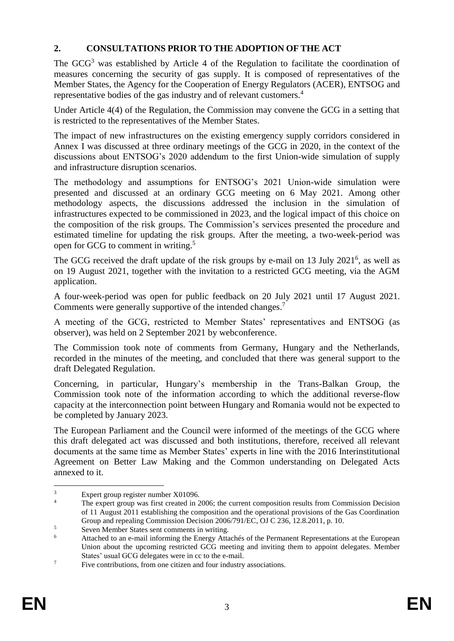### **2. CONSULTATIONS PRIOR TO THE ADOPTION OF THE ACT**

The  $GCG<sup>3</sup>$  was established by Article 4 of the Regulation to facilitate the coordination of measures concerning the security of gas supply. It is composed of representatives of the Member States, the Agency for the Cooperation of Energy Regulators (ACER), ENTSOG and representative bodies of the gas industry and of relevant customers.<sup>4</sup>

Under Article 4(4) of the Regulation, the Commission may convene the GCG in a setting that is restricted to the representatives of the Member States.

The impact of new infrastructures on the existing emergency supply corridors considered in Annex I was discussed at three ordinary meetings of the GCG in 2020, in the context of the discussions about ENTSOG's 2020 addendum to the first Union-wide simulation of supply and infrastructure disruption scenarios.

The methodology and assumptions for ENTSOG's 2021 Union-wide simulation were presented and discussed at an ordinary GCG meeting on 6 May 2021. Among other methodology aspects, the discussions addressed the inclusion in the simulation of infrastructures expected to be commissioned in 2023, and the logical impact of this choice on the composition of the risk groups. The Commission's services presented the procedure and estimated timeline for updating the risk groups. After the meeting, a two-week-period was open for GCG to comment in writing. 5

The GCG received the draft update of the risk groups by e-mail on 13 July 2021<sup>6</sup>, as well as on 19 August 2021, together with the invitation to a restricted GCG meeting, via the AGM application.

A four-week-period was open for public feedback on 20 July 2021 until 17 August 2021. Comments were generally supportive of the intended changes.<sup>7</sup>

A meeting of the GCG, restricted to Member States' representatives and ENTSOG (as observer), was held on 2 September 2021 by webconference.

The Commission took note of comments from Germany, Hungary and the Netherlands, recorded in the minutes of the meeting, and concluded that there was general support to the draft Delegated Regulation.

Concerning, in particular, Hungary's membership in the Trans-Balkan Group, the Commission took note of the information according to which the additional reverse-flow capacity at the interconnection point between Hungary and Romania would not be expected to be completed by January 2023.

The European Parliament and the Council were informed of the meetings of the GCG where this draft delegated act was discussed and both institutions, therefore, received all relevant documents at the same time as Member States' experts in line with the 2016 Interinstitutional Agreement on Better Law Making and the Common understanding on Delegated Acts annexed to it.

<sup>1</sup>  $\frac{3}{4}$  Expert group register number X01096.

The expert group was first created in 2006; the current composition results from Commission Decision of 11 August 2011 establishing the composition and the operational provisions of the Gas Coordination Group and repealing Commission Decision 2006/791/EC, OJ C 236, 12.8.2011, p. 10.

 $5$  Seven Member States sent comments in writing.<br> $6$  Atteched to an a mail informing the Energy Atte

<sup>6</sup> Attached to an e-mail informing the Energy Attachés of the Permanent Representations at the European Union about the upcoming restricted GCG meeting and inviting them to appoint delegates. Member States' usual GCG delegates were in cc to the e-mail.

<sup>&</sup>lt;sup>7</sup> Five contributions, from one citizen and four industry associations.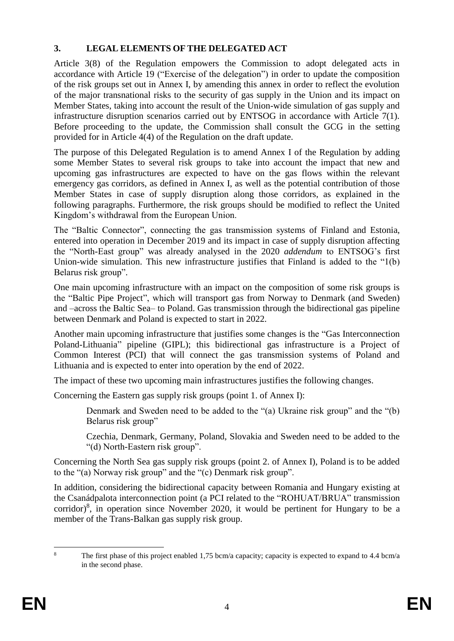### **3. LEGAL ELEMENTS OF THE DELEGATED ACT**

Article 3(8) of the Regulation empowers the Commission to adopt delegated acts in accordance with Article 19 ("Exercise of the delegation") in order to update the composition of the risk groups set out in Annex I, by amending this annex in order to reflect the evolution of the major transnational risks to the security of gas supply in the Union and its impact on Member States, taking into account the result of the Union-wide simulation of gas supply and infrastructure disruption scenarios carried out by ENTSOG in accordance with Article 7(1). Before proceeding to the update, the Commission shall consult the GCG in the setting provided for in Article 4(4) of the Regulation on the draft update.

The purpose of this Delegated Regulation is to amend Annex I of the Regulation by adding some Member States to several risk groups to take into account the impact that new and upcoming gas infrastructures are expected to have on the gas flows within the relevant emergency gas corridors, as defined in Annex I, as well as the potential contribution of those Member States in case of supply disruption along those corridors, as explained in the following paragraphs. Furthermore, the risk groups should be modified to reflect the United Kingdom's withdrawal from the European Union.

The "Baltic Connector", connecting the gas transmission systems of Finland and Estonia, entered into operation in December 2019 and its impact in case of supply disruption affecting the "North-East group" was already analysed in the 2020 *addendum* to ENTSOG's first Union-wide simulation. This new infrastructure justifies that Finland is added to the "1(b) Belarus risk group".

One main upcoming infrastructure with an impact on the composition of some risk groups is the "Baltic Pipe Project", which will transport gas from Norway to Denmark (and Sweden) and –across the Baltic Sea– to Poland. Gas transmission through the bidirectional gas pipeline between Denmark and Poland is expected to start in 2022.

Another main upcoming infrastructure that justifies some changes is the "Gas Interconnection Poland-Lithuania" pipeline (GIPL); this bidirectional gas infrastructure is a Project of Common Interest (PCI) that will connect the gas transmission systems of Poland and Lithuania and is expected to enter into operation by the end of 2022.

The impact of these two upcoming main infrastructures justifies the following changes.

Concerning the Eastern gas supply risk groups (point 1. of Annex I):

Denmark and Sweden need to be added to the "(a) Ukraine risk group" and the "(b) Belarus risk group"

Czechia, Denmark, Germany, Poland, Slovakia and Sweden need to be added to the "(d) North-Eastern risk group".

Concerning the North Sea gas supply risk groups (point 2. of Annex I), Poland is to be added to the "(a) Norway risk group" and the "(c) Denmark risk group".

In addition, considering the bidirectional capacity between Romania and Hungary existing at the Csanádpalota interconnection point (a PCI related to the "ROHUAT/BRUA" transmission corridor) $8$ , in operation since November 2020, it would be pertinent for Hungary to be a member of the Trans-Balkan gas supply risk group.

 $\overline{8}$ The first phase of this project enabled 1,75 bcm/a capacity; capacity is expected to expand to 4.4 bcm/a in the second phase.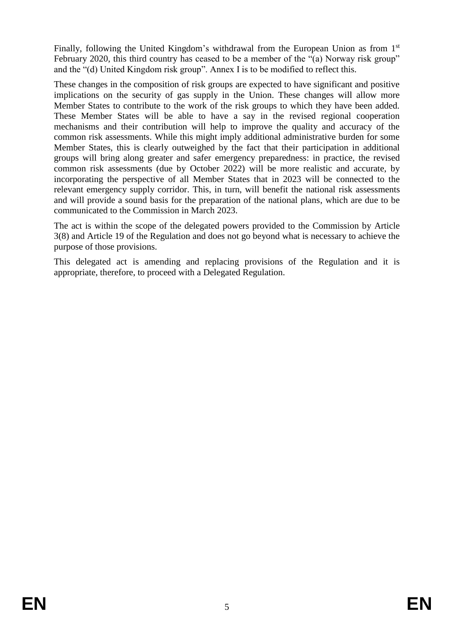Finally, following the United Kingdom's withdrawal from the European Union as from 1<sup>st</sup> February 2020, this third country has ceased to be a member of the "(a) Norway risk group" and the "(d) United Kingdom risk group". Annex I is to be modified to reflect this.

These changes in the composition of risk groups are expected to have significant and positive implications on the security of gas supply in the Union. These changes will allow more Member States to contribute to the work of the risk groups to which they have been added. These Member States will be able to have a say in the revised regional cooperation mechanisms and their contribution will help to improve the quality and accuracy of the common risk assessments. While this might imply additional administrative burden for some Member States, this is clearly outweighed by the fact that their participation in additional groups will bring along greater and safer emergency preparedness: in practice, the revised common risk assessments (due by October 2022) will be more realistic and accurate, by incorporating the perspective of all Member States that in 2023 will be connected to the relevant emergency supply corridor. This, in turn, will benefit the national risk assessments and will provide a sound basis for the preparation of the national plans, which are due to be communicated to the Commission in March 2023.

The act is within the scope of the delegated powers provided to the Commission by Article 3(8) and Article 19 of the Regulation and does not go beyond what is necessary to achieve the purpose of those provisions.

This delegated act is amending and replacing provisions of the Regulation and it is appropriate, therefore, to proceed with a Delegated Regulation.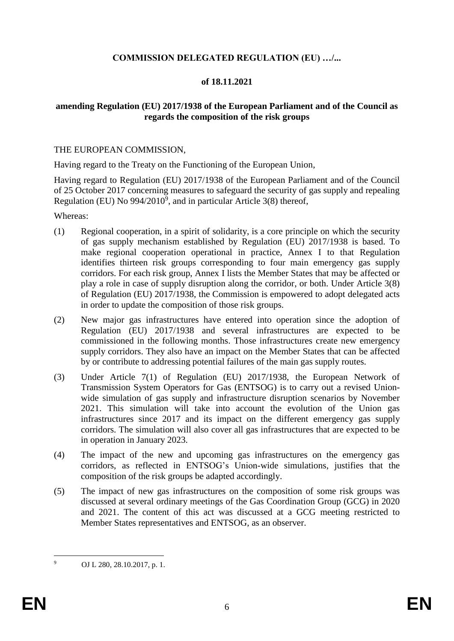### **COMMISSION DELEGATED REGULATION (EU) …/...**

### **of 18.11.2021**

#### **amending Regulation (EU) 2017/1938 of the European Parliament and of the Council as regards the composition of the risk groups**

#### THE EUROPEAN COMMISSION,

Having regard to the Treaty on the Functioning of the European Union,

Having regard to Regulation (EU) 2017/1938 of the European Parliament and of the Council of 25 October 2017 concerning measures to safeguard the security of gas supply and repealing Regulation (EU) No  $994/2010^9$ , and in particular Article 3(8) thereof,

Whereas:

- (1) Regional cooperation, in a spirit of solidarity, is a core principle on which the security of gas supply mechanism established by Regulation (EU) 2017/1938 is based. To make regional cooperation operational in practice, Annex I to that Regulation identifies thirteen risk groups corresponding to four main emergency gas supply corridors. For each risk group, Annex I lists the Member States that may be affected or play a role in case of supply disruption along the corridor, or both. Under Article 3(8) of Regulation (EU) 2017/1938, the Commission is empowered to adopt delegated acts in order to update the composition of those risk groups.
- (2) New major gas infrastructures have entered into operation since the adoption of Regulation (EU) 2017/1938 and several infrastructures are expected to be commissioned in the following months. Those infrastructures create new emergency supply corridors. They also have an impact on the Member States that can be affected by or contribute to addressing potential failures of the main gas supply routes.
- (3) Under Article 7(1) of Regulation (EU) 2017/1938, the European Network of Transmission System Operators for Gas (ENTSOG) is to carry out a revised Unionwide simulation of gas supply and infrastructure disruption scenarios by November 2021. This simulation will take into account the evolution of the Union gas infrastructures since 2017 and its impact on the different emergency gas supply corridors. The simulation will also cover all gas infrastructures that are expected to be in operation in January 2023.
- (4) The impact of the new and upcoming gas infrastructures on the emergency gas corridors, as reflected in ENTSOG's Union-wide simulations, justifies that the composition of the risk groups be adapted accordingly.
- (5) The impact of new gas infrastructures on the composition of some risk groups was discussed at several ordinary meetings of the Gas Coordination Group (GCG) in 2020 and 2021. The content of this act was discussed at a GCG meeting restricted to Member States representatives and ENTSOG, as an observer.

 $\overline{9}$ <sup>9</sup> OJ L 280, 28.10.2017, p. 1.